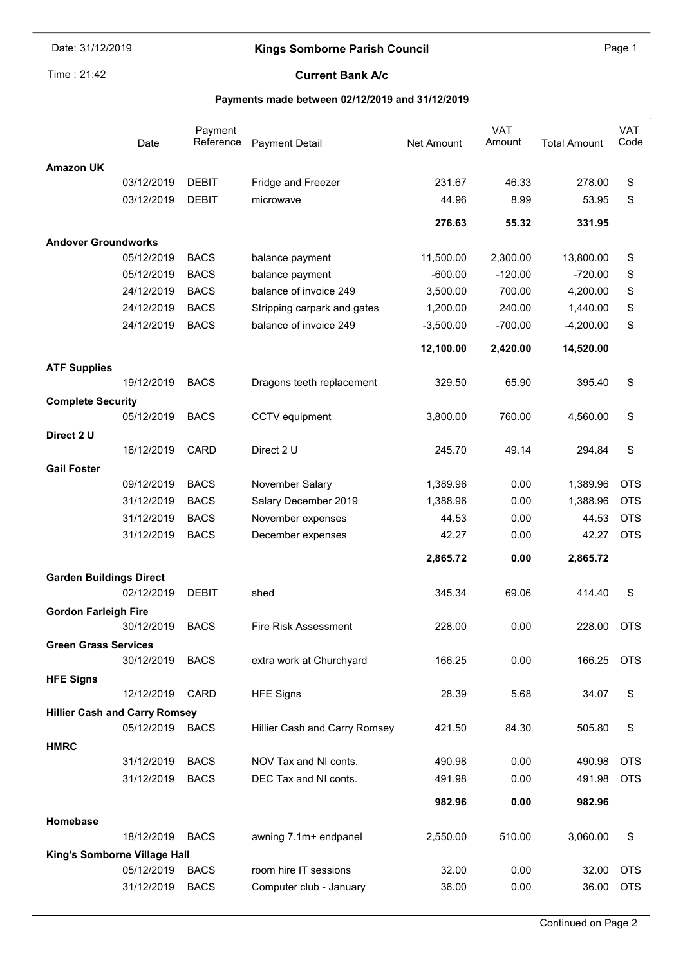# Kings Somborne Parish Council **Example 2018** Page 1

Time: 21:42

i.

#### Current Bank A/c

# Payments made between 02/12/2019 and 31/12/2019

|                                      |            | Payment      |                               |                   | <b>VAT</b> |                     | $VAT$       |  |  |  |  |
|--------------------------------------|------------|--------------|-------------------------------|-------------------|------------|---------------------|-------------|--|--|--|--|
|                                      | Date       | Reference    | <b>Payment Detail</b>         | <b>Net Amount</b> | Amount     | <b>Total Amount</b> | Code        |  |  |  |  |
| <b>Amazon UK</b>                     |            |              |                               |                   |            |                     |             |  |  |  |  |
|                                      | 03/12/2019 | <b>DEBIT</b> | Fridge and Freezer            | 231.67            | 46.33      | 278.00              | S           |  |  |  |  |
|                                      | 03/12/2019 | <b>DEBIT</b> | microwave                     | 44.96             | 8.99       | 53.95               | S           |  |  |  |  |
|                                      |            |              |                               |                   |            |                     |             |  |  |  |  |
|                                      |            |              |                               | 276.63            | 55.32      | 331.95              |             |  |  |  |  |
| <b>Andover Groundworks</b>           |            |              |                               |                   |            |                     |             |  |  |  |  |
|                                      | 05/12/2019 | <b>BACS</b>  | balance payment               | 11,500.00         | 2,300.00   | 13,800.00           | S           |  |  |  |  |
|                                      | 05/12/2019 | <b>BACS</b>  | balance payment               | $-600.00$         | $-120.00$  | $-720.00$           | S           |  |  |  |  |
|                                      | 24/12/2019 | <b>BACS</b>  | balance of invoice 249        | 3,500.00          | 700.00     | 4,200.00            | $\mathbb S$ |  |  |  |  |
|                                      | 24/12/2019 | <b>BACS</b>  | Stripping carpark and gates   | 1,200.00          | 240.00     | 1,440.00            | $\mathbb S$ |  |  |  |  |
|                                      | 24/12/2019 | <b>BACS</b>  | balance of invoice 249        | $-3,500.00$       | $-700.00$  | $-4,200.00$         | S           |  |  |  |  |
|                                      |            |              |                               | 12,100.00         | 2,420.00   | 14,520.00           |             |  |  |  |  |
| <b>ATF Supplies</b>                  |            |              |                               |                   |            |                     |             |  |  |  |  |
|                                      | 19/12/2019 | <b>BACS</b>  | Dragons teeth replacement     | 329.50            | 65.90      | 395.40              | S           |  |  |  |  |
| <b>Complete Security</b>             |            |              |                               |                   |            |                     |             |  |  |  |  |
|                                      | 05/12/2019 | <b>BACS</b>  | CCTV equipment                | 3,800.00          | 760.00     | 4,560.00            | S           |  |  |  |  |
| Direct 2 U                           |            |              |                               |                   |            |                     |             |  |  |  |  |
|                                      | 16/12/2019 | CARD         | Direct 2 U                    | 245.70            | 49.14      | 294.84              | S           |  |  |  |  |
| <b>Gail Foster</b>                   |            |              |                               |                   |            |                     |             |  |  |  |  |
|                                      | 09/12/2019 | <b>BACS</b>  | November Salary               | 1,389.96          | 0.00       | 1,389.96            | <b>OTS</b>  |  |  |  |  |
|                                      | 31/12/2019 | <b>BACS</b>  | Salary December 2019          | 1,388.96          | 0.00       | 1,388.96            | <b>OTS</b>  |  |  |  |  |
|                                      | 31/12/2019 | <b>BACS</b>  | November expenses             | 44.53             | 0.00       | 44.53               | <b>OTS</b>  |  |  |  |  |
|                                      | 31/12/2019 | <b>BACS</b>  | December expenses             | 42.27             | 0.00       | 42.27               | <b>OTS</b>  |  |  |  |  |
|                                      |            |              |                               |                   |            |                     |             |  |  |  |  |
|                                      |            |              |                               | 2,865.72          | 0.00       | 2,865.72            |             |  |  |  |  |
| <b>Garden Buildings Direct</b>       |            |              |                               |                   |            |                     |             |  |  |  |  |
|                                      | 02/12/2019 | <b>DEBIT</b> | shed                          | 345.34            | 69.06      | 414.40              | S           |  |  |  |  |
| <b>Gordon Farleigh Fire</b>          |            |              |                               |                   |            |                     |             |  |  |  |  |
|                                      | 30/12/2019 | <b>BACS</b>  | <b>Fire Risk Assessment</b>   | 228.00            | 0.00       | 228.00              | <b>OTS</b>  |  |  |  |  |
| <b>Green Grass Services</b>          |            |              |                               |                   |            |                     |             |  |  |  |  |
|                                      | 30/12/2019 | <b>BACS</b>  | extra work at Churchyard      | 166.25            | 0.00       | 166.25              | OTS         |  |  |  |  |
| <b>HFE Signs</b>                     |            |              |                               |                   |            |                     |             |  |  |  |  |
|                                      | 12/12/2019 | CARD         | <b>HFE Signs</b>              | 28.39             | 5.68       | 34.07               | S           |  |  |  |  |
| <b>Hillier Cash and Carry Romsey</b> |            |              |                               |                   |            |                     |             |  |  |  |  |
|                                      | 05/12/2019 | <b>BACS</b>  | Hillier Cash and Carry Romsey | 421.50            | 84.30      | 505.80              | S           |  |  |  |  |
| <b>HMRC</b>                          |            |              |                               |                   |            |                     |             |  |  |  |  |
|                                      | 31/12/2019 | <b>BACS</b>  | NOV Tax and NI conts.         | 490.98            | 0.00       | 490.98              | <b>OTS</b>  |  |  |  |  |
|                                      | 31/12/2019 | <b>BACS</b>  | DEC Tax and NI conts.         | 491.98            | 0.00       | 491.98              | <b>OTS</b>  |  |  |  |  |
|                                      |            |              |                               | 982.96            | 0.00       | 982.96              |             |  |  |  |  |
| Homebase                             |            |              |                               |                   |            |                     |             |  |  |  |  |
|                                      | 18/12/2019 | <b>BACS</b>  | awning 7.1m+ endpanel         | 2,550.00          | 510.00     | 3,060.00            | S           |  |  |  |  |
| King's Somborne Village Hall         |            |              |                               |                   |            |                     |             |  |  |  |  |
|                                      | 05/12/2019 | <b>BACS</b>  | room hire IT sessions         | 32.00             | 0.00       | 32.00               | <b>OTS</b>  |  |  |  |  |
|                                      | 31/12/2019 | <b>BACS</b>  | Computer club - January       | 36.00             | 0.00       | 36.00               | <b>OTS</b>  |  |  |  |  |
|                                      |            |              |                               |                   |            |                     |             |  |  |  |  |